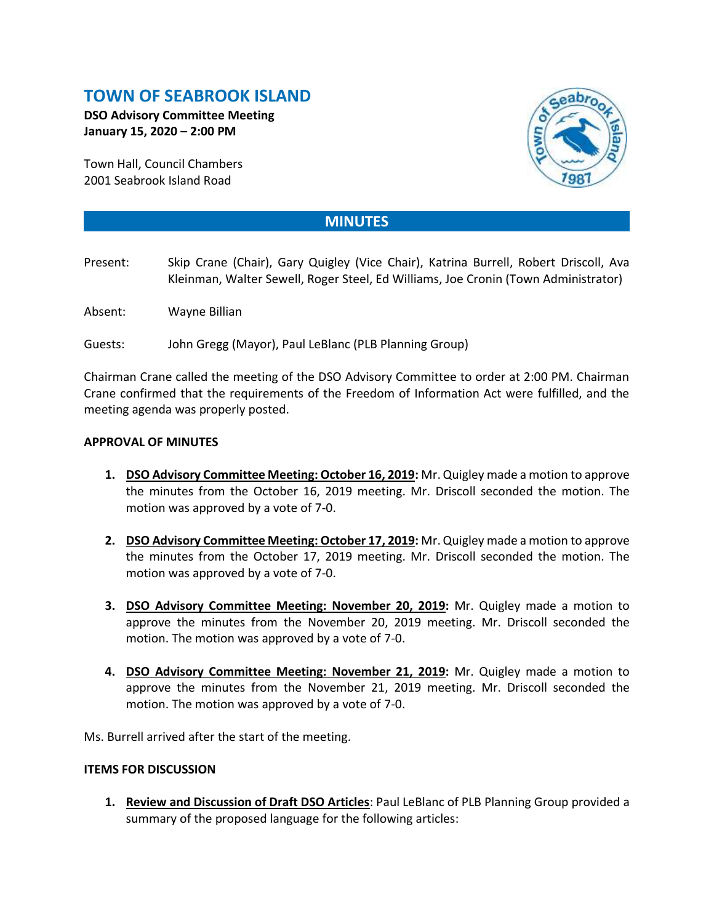# **TOWN OF SEABROOK ISLAND**

**DSO Advisory Committee Meeting January 15, 2020 – 2:00 PM**

Town Hall, Council Chambers 2001 Seabrook Island Road



## **MINUTES**

- Present: Skip Crane (Chair), Gary Quigley (Vice Chair), Katrina Burrell, Robert Driscoll, Ava Kleinman, Walter Sewell, Roger Steel, Ed Williams, Joe Cronin (Town Administrator)
- Absent: Wayne Billian
- Guests: John Gregg (Mayor), Paul LeBlanc (PLB Planning Group)

Chairman Crane called the meeting of the DSO Advisory Committee to order at 2:00 PM. Chairman Crane confirmed that the requirements of the Freedom of Information Act were fulfilled, and the meeting agenda was properly posted.

#### **APPROVAL OF MINUTES**

- **1. DSO Advisory Committee Meeting: October 16, 2019:** Mr. Quigley made a motion to approve the minutes from the October 16, 2019 meeting. Mr. Driscoll seconded the motion. The motion was approved by a vote of 7-0.
- **2. DSO Advisory Committee Meeting: October 17, 2019:** Mr. Quigley made a motion to approve the minutes from the October 17, 2019 meeting. Mr. Driscoll seconded the motion. The motion was approved by a vote of 7-0.
- **3. DSO Advisory Committee Meeting: November 20, 2019:** Mr. Quigley made a motion to approve the minutes from the November 20, 2019 meeting. Mr. Driscoll seconded the motion. The motion was approved by a vote of 7-0.
- **4. DSO Advisory Committee Meeting: November 21, 2019:** Mr. Quigley made a motion to approve the minutes from the November 21, 2019 meeting. Mr. Driscoll seconded the motion. The motion was approved by a vote of 7-0.

Ms. Burrell arrived after the start of the meeting.

#### **ITEMS FOR DISCUSSION**

**1. Review and Discussion of Draft DSO Articles**: Paul LeBlanc of PLB Planning Group provided a summary of the proposed language for the following articles: